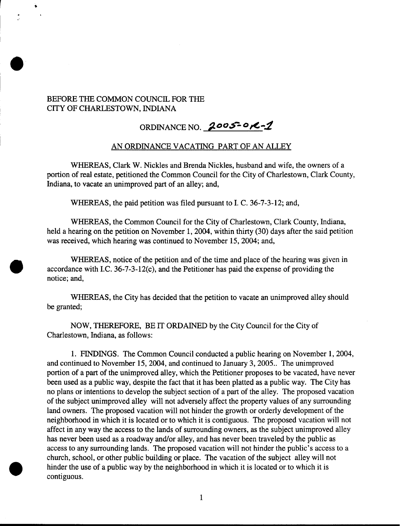## BEFORE THE COMMON COUNCIL FOR THE CITY OF CHARLESTOWN, INDIANA

## ORDINANCE NO. 2005-01-2

## AN ORDINANCE VACATING PART OF AN ALLEY

WHEREAS, Clark W. Nickles and Brenda Nickles, husband and wife, the owners of a portion of real estate, petitioned the Common Council for the City of Charlestown, Clark County, Indiana, to vacate an unimproved part of an alley; and,

WHEREAS, the paid petition was filed pursuant to I. C. 36-7-3-12; and,

WHEREAS, the Common Council for the City of Charlestown, Clark County, Indiana, held a hearing on the petition on November 1, 2004, within thirty (30) days after the said petition was received, which hearing was continued to November 15,2004; and,

WHEREAS, notice of the petition and of the time and place of the hearing was given in accordance with I.C. 36-7-3-12(c), and the Petitioner has paid the expense of providing the notice; and,

WHEREAS, the City has decided that the petition to vacate an unimproved alley should be granted;

NOW, THEREFORE, BE IT ORDAINED by the City Council for the City of Charlestown, Indiana, as follows:

1. FINDINGS. The Common Council conducted a public hearing on November 1,2004, and continued to November 15,2004, and continued to January 3,2005.. The unimproved portion of a part of the unimproved alley, which the Petitioner proposes to be vacated, have never been used as a public way, despite the fact that it has been platted as a public way. The City has no plans or intentions to develop the subject section of a part of the alley. The proposed vacation of the subject unimproved alley will not adversely affect the property values of any surrounding land owners. The proposed vacation will not hinder the growth or orderly development of the neighborhood in which it is located or to which it is contiguous. The proposed vacation will not affect in any way the access to the lands of surrounding owners, as the subject unimproved alley has never been used as a roadway and/or alley, and has never been traveled by the public as access to any surrounding lands. The proposed vacation will not hinder the public's access to a church, school, or other public building or place. The vacation of the subject alley will not hinder the use of a public way by the neighborhood in which it is located or to which it is contiguous.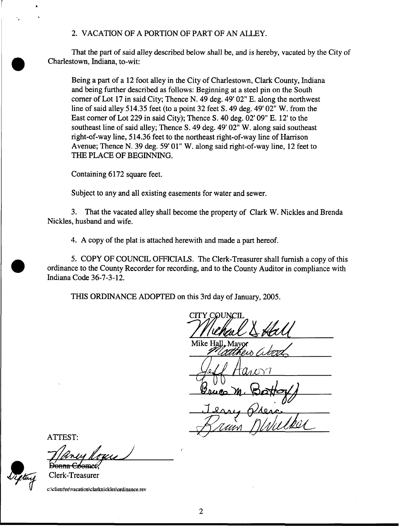## **2.** VACATION **OF** A PORTION OF PART OF AN ALLEY.

That the part of said alley described below shall be, and is hereby, vacated by the City of Charlestown, Indiana, to-wit:

Being a part of a **12** foot alley in the City of Charlestown, Clark County, Indiana and being further described as follows: Beginning at a steel pin on the South corner of Lot **17** in said City; Thence N. **49** deg. **49' 02"** E. along the northwest line of said alley **514.35** feet (to a point **32** feet S. **49** deg. **49' 02" W.** from the East corner of Lot **229** in said City); Thence **S. 40** deg. **02' 09"** E. **12'** to the southeast line of said alley; Thence **S. 49** deg. **49' 02" W.** along said southeast right-of-way line, **514.36** feet to the northeast right-of-way line of Harrison Avenue; Thence N. **39** deg. **59' 01" W.** along said right-of-way line, **12** feet to THE PLACE OF BEGINNING.

Containing **6172** square feet.

Subject to any and all existing easements for water and sewer.

**3.** That the vacated alley shall become the property of Clark **W.** Nickles and Brenda Nickles, husband and wife.

**4.** A copy of the plat is attached herewith and made a part hereof.

5. COPY OF COUNCIL OFFICIALS. The Clerk-Treasurer shall furnish a copy of this ordinance to the County Recorder for recording, and to the County Auditor in compliance with Indiana Code **36-7-3-12.** 

THIS ORDINANCE ADOPTED on this 3rd day of January, **2005.** 

**CITY COUNCIL** Mike Hall

ATTEST:

D'anne Erkemer

Clerk-Treasurer

**c:\client\re\vacation\clarknicklesordinance.rev**